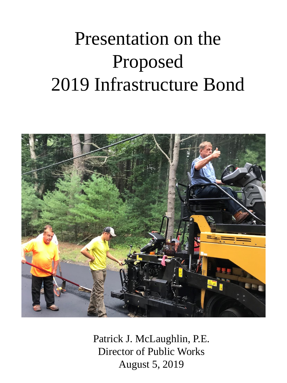## Presentation on the Proposed 2019 Infrastructure Bond



Patrick J. McLaughlin, P.E. Director of Public Works August 5, 2019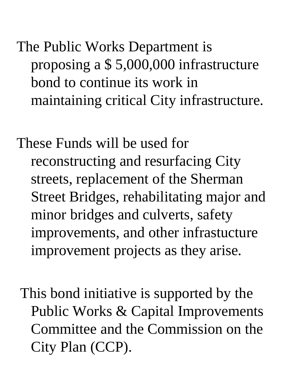The Public Works Department is proposing a \$ 5,000,000 infrastructure bond to continue its work in maintaining critical City infrastructure.

These Funds will be used for reconstructing and resurfacing City streets, replacement of the Sherman Street Bridges, rehabilitating major and minor bridges and culverts, safety improvements, and other infrastucture improvement projects as they arise.

This bond initiative is supported by the Public Works & Capital Improvements Committee and the Commission on the City Plan (CCP).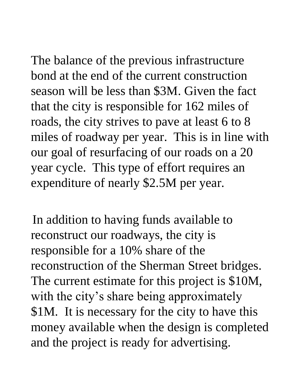The balance of the previous infrastructure bond at the end of the current construction season will be less than \$3M. Given the fact that the city is responsible for 162 miles of roads, the city strives to pave at least 6 to 8 miles of roadway per year. This is in line with our goal of resurfacing of our roads on a 20

year cycle. This type of effort requires an expenditure of nearly \$2.5M per year.

In addition to having funds available to reconstruct our roadways, the city is responsible for a 10% share of the reconstruction of the Sherman Street bridges. The current estimate for this project is \$10M, with the city's share being approximately \$1M. It is necessary for the city to have this money available when the design is completed and the project is ready for advertising.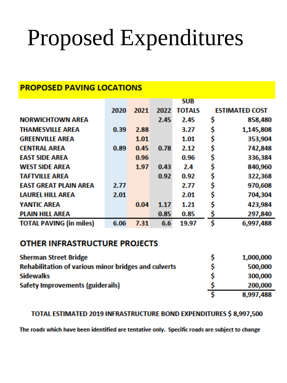# Proposed Expenditures

| <b>PROPOSED PAVING LOCATIONS</b> |      |      |      |            |                       |
|----------------------------------|------|------|------|------------|-----------------------|
|                                  |      |      |      | <b>SUB</b> |                       |
|                                  | 2020 | 2021 | 2022 | TOTALS     | <b>ESTIMATED COST</b> |
| <b>NORWICHTOWN AREA</b>          |      |      | 2.45 | 2.45       | \$<br>858,480         |
| <b>THAMESVILLE AREA</b>          | 0.39 | 2.88 |      | 3.27       | \$<br>1,145,808       |
| <b>GREENVILLE AREA</b>           |      | 1.01 |      | 1.01       | \$<br>353,904         |
| <b>CENTRAL AREA</b>              | 0.89 | 0.45 | 0.78 | 2.12       | \$<br>742,848         |
| <b>EAST SIDE AREA</b>            |      | 0.96 |      | 0.96       | \$<br>336,384         |
| <b>WEST SIDE AREA</b>            |      | 1.97 | 0.43 | 2.4        | \$<br>840,960         |
| <b>TAFTVILLE AREA</b>            |      |      | 0.92 | 0.92       | \$<br>322,368         |
| <b>EAST GREAT PLAIN AREA</b>     | 2.77 |      |      | 2.77       | \$<br>970,608         |
| <b>LAUREL HILL AREA</b>          | 2.01 |      |      | 2.01       | \$<br>704,304         |
| <b>YANTIC AREA</b>               |      | 0.04 | 1.17 | 1.21       | \$<br>423,984         |
| <b>PLAIN HILL AREA</b>           |      |      | 0.85 | 0.85       | \$<br>297,840         |
| <b>TOTAL PAVING (in miles)</b>   | 6.06 | 7.31 | 6.6  | 19.97      | \$<br>6,997,488       |

#### **OTHER INFRASTRUCTURE PROJECTS**

| <b>Sherman Street Bridge</b>                                | 1,000,000 |
|-------------------------------------------------------------|-----------|
| <b>Rehabilitation of various minor bridges and culverts</b> | 500,000   |
| <b>Sidewalks</b>                                            | 300,000   |
| Safety Improvements (guiderails)                            | 200,000   |
|                                                             | 8,997,488 |

#### TOTAL ESTIMATED 2019 INFRASTRUCTURE BOND EXPENDITURES \$ 8,997,500

The roads which have been identified are tentative only. Specific roads are subject to change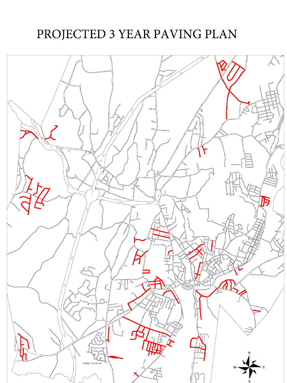### PROJECTED 3 YEAR PAVING PLAN

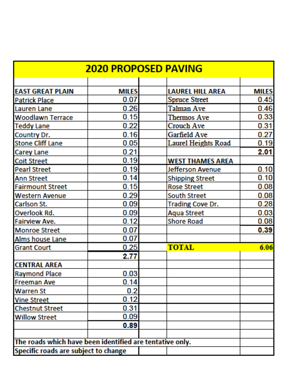| <b>2020 PROPOSED PAVING</b>                              |              |                            |              |  |
|----------------------------------------------------------|--------------|----------------------------|--------------|--|
|                                                          |              |                            |              |  |
| <b>EAST GREAT PLAIN</b>                                  | <b>MILES</b> | <b>LAUREL HILL AREA</b>    | <b>MILES</b> |  |
| <b>Patrick Place</b>                                     | 0.07         | <b>Spruce Street</b>       | 0.45         |  |
| Lauren Lane                                              | 0.26         | Talman Ave                 | 0.46         |  |
| <b>Woodlawn Terrace</b>                                  | 0.15         | <b>Thermos Ave</b>         | 0.33         |  |
| <b>Teddy Lane</b>                                        | 0.22         | <b>Crouch Ave</b>          | 0.31         |  |
| Country Dr.                                              | 0.16         | Garfield Ave               | 0.27         |  |
| <b>Stone Cliff Lane</b>                                  | 0.05         | <b>Laurel Heights Road</b> | 0.19         |  |
| Carey Lane                                               | 0.21         |                            | 2.01         |  |
| <b>Coit Street</b>                                       | 0.19         | <b>WEST THAMES AREA</b>    |              |  |
| <b>Pearl Street</b>                                      | 0.19         | Jefferson Avenue           | 0.10         |  |
| <b>Ann Street</b>                                        | 0.14         | <b>Shipping Street</b>     | 0.10         |  |
| <b>Fairmount Street</b>                                  | 0.15         | <b>Rose Street</b>         | 0.08         |  |
| <b>Western Avenue</b>                                    | 0.29         | <b>South Street</b>        | 0.08         |  |
| Carlson St.                                              | 0.09         | <b>Trading Cove Dr.</b>    | 0.28         |  |
| Overlook Rd.                                             | 0.09         | <b>Aqua Street</b>         | 0.03         |  |
| Fairview Ave.                                            | 0.12         | <b>Shore Road</b>          | 0.08         |  |
| <b>Monroe Street</b>                                     | 0.07         |                            | 0.39         |  |
| Alms house Lane                                          | 0.07         |                            |              |  |
| <b>Grant Court</b>                                       | 0.25         | <b>TOTAL</b>               | 6.06         |  |
|                                                          | 2.77         |                            |              |  |
| <b>CENTRAL AREA</b>                                      |              |                            |              |  |
| <b>Raymond Place</b>                                     | 0.03         |                            |              |  |
| <b>Freeman Ave</b>                                       | 0.14         |                            |              |  |
| <b>Warren St</b>                                         | 0.2          |                            |              |  |
| <b>Vine Street</b>                                       | 0.12         |                            |              |  |
| <b>Chestnut Street</b>                                   | 0.31         |                            |              |  |
| <b>Willow Street</b>                                     | 0.09         |                            |              |  |
|                                                          | 0.89         |                            |              |  |
|                                                          |              |                            |              |  |
| The roads which have been identified are tentative only. |              |                            |              |  |
| Specific roads are subject to change                     |              |                            |              |  |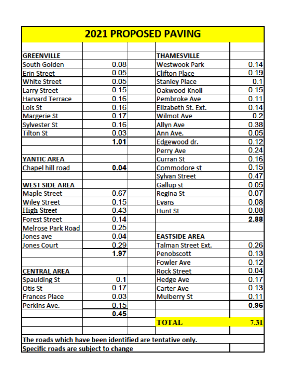| <b>2021 PROPOSED PAVING</b>                              |      |                      |      |  |
|----------------------------------------------------------|------|----------------------|------|--|
|                                                          |      |                      |      |  |
| <b>GREENVILLE</b>                                        |      | <b>THAMESVILLE</b>   |      |  |
| South Golden                                             | 0.08 | Westwook Park        | 0.14 |  |
| <b>Erin Street</b>                                       | 0.05 | <b>Clifton Place</b> | 0.19 |  |
| <b>White Street</b>                                      | 0.05 | <b>Stanley Place</b> | 0.1  |  |
| <b>Larry Street</b>                                      | 0.15 | Oakwood Knoll        | 0.15 |  |
| <b>Harvard Terrace</b>                                   | 0.16 | Pembroke Ave         | 0.11 |  |
| <b>Lois St</b>                                           | 0.16 | Elizabeth St. Ext.   | 0.14 |  |
| <b>Margerie St</b>                                       | 0.17 | <b>Wilmot Ave</b>    | 0.2  |  |
| Sylvester St                                             | 0.16 | <b>Allyn Ave</b>     | 0.38 |  |
| <b>Tilton St</b>                                         | 0.03 | Ann Ave.             | 0.05 |  |
|                                                          | 1.01 | Edgewood dr.         | 0.12 |  |
|                                                          |      | <b>Perry Ave</b>     | 0.24 |  |
| <b>YANTIC AREA</b>                                       |      | <b>Curran St</b>     | 0.16 |  |
| Chapel hill road                                         | 0.04 | Commodore st         | 0.15 |  |
|                                                          |      | <b>Sylvan Street</b> | 0.47 |  |
| <b>WEST SIDE AREA</b>                                    |      | <b>Gallup st</b>     | 0.05 |  |
| <b>Maple Street</b>                                      | 0.67 | <b>Regina St</b>     | 0.07 |  |
| <b>Wiley Street</b>                                      | 0.15 | <b>Evans</b>         | 0.08 |  |
| <b>High Street</b>                                       | 0.43 | <b>Hunt St</b>       | 0.08 |  |
| <b>Forest Street</b>                                     | 0.14 |                      | 2.88 |  |
| <b>Melrose Park Road</b>                                 | 0.25 |                      |      |  |
| Jones ave                                                | 0.04 | <b>EASTSIDE AREA</b> |      |  |
| <b>Jones Court</b>                                       | 0.29 | Talman Street Ext.   | 0.26 |  |
|                                                          | 1.97 | Penobscott           | 0.13 |  |
|                                                          |      | <b>Fowler Ave</b>    | 0.12 |  |
| <b>CENTRAL AREA</b>                                      |      | <b>Rock Street</b>   | 0.04 |  |
| <b>Spaulding St</b>                                      | 0.1  | <b>Hedge Ave</b>     | 0.17 |  |
| Otis St                                                  | 0.17 | <b>Carter Ave</b>    | 0.13 |  |
| <b>Frances Place</b>                                     | 0.03 | <b>Mulberry St</b>   | 0.11 |  |
| Perkins Ave.                                             | 0.15 |                      | 0.96 |  |
|                                                          | 0.45 |                      |      |  |
|                                                          |      | <b>TOTAL</b>         | 7.31 |  |
|                                                          |      |                      |      |  |
| The roads which have been identified are tentative only. |      |                      |      |  |
| Specific roads are subject to change                     |      |                      |      |  |